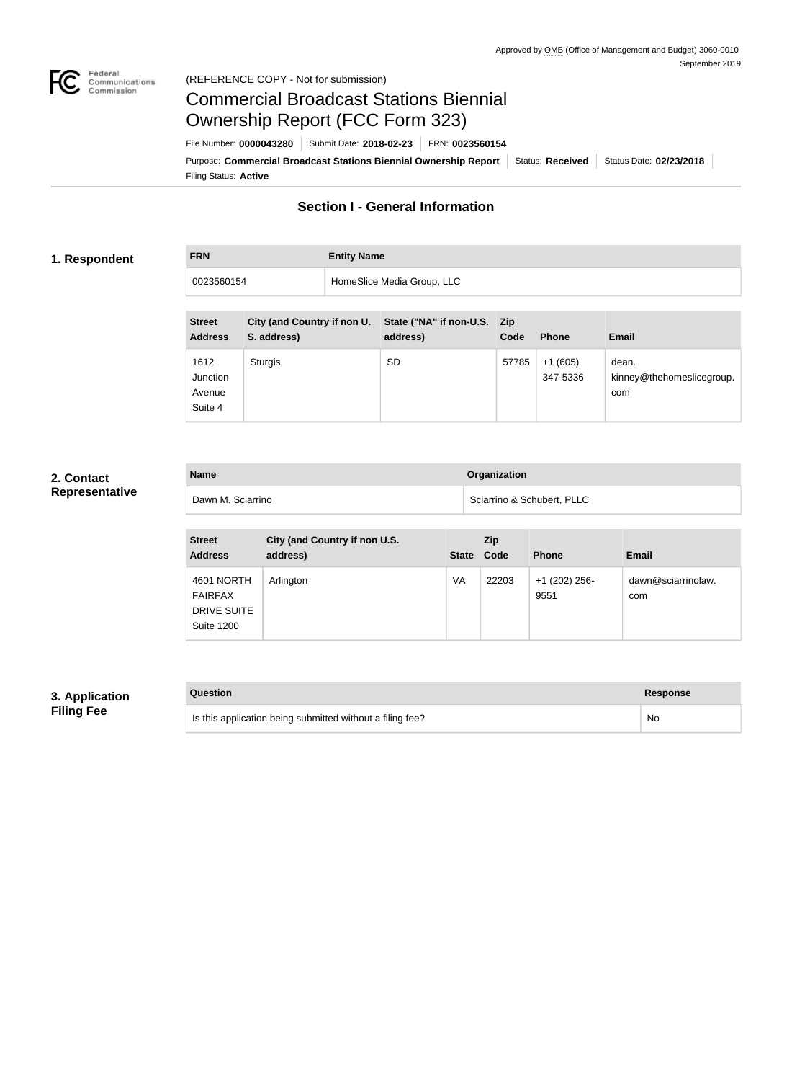

#### Federal<br>Communications<br>Commission (REFERENCE COPY - Not for submission)

# Commercial Broadcast Stations Biennial Ownership Report (FCC Form 323)

Filing Status: **Active** Purpose: Commercial Broadcast Stations Biennial Ownership Report Status: Received Status Date: 02/23/2018 File Number: **0000043280** Submit Date: **2018-02-23** FRN: **0023560154**

## **Section I - General Information**

#### **1. Respondent**

**FRN Entity Name** 0023560154 HomeSlice Media Group, LLC

| <b>Street</b><br><b>Address</b>       | City (and Country if non U.<br>S. address) | State ("NA" if non-U.S. Zip<br>address) | Code  | <b>Phone</b>          | <b>Email</b>                              |
|---------------------------------------|--------------------------------------------|-----------------------------------------|-------|-----------------------|-------------------------------------------|
| 1612<br>Junction<br>Avenue<br>Suite 4 | Sturgis                                    | <b>SD</b>                               | 57785 | $+1(605)$<br>347-5336 | dean.<br>kinney@thehomeslicegroup.<br>com |

## **2. Contact Representative**

| <b>Name</b>       | Organization               |
|-------------------|----------------------------|
| Dawn M. Sciarrino | Sciarrino & Schubert, PLLC |

| <b>Street</b><br><b>Address</b>                                  | City (and Country if non U.S.<br>address) | <b>State</b> | Zip<br>Code | <b>Phone</b>          | <b>Email</b>              |
|------------------------------------------------------------------|-------------------------------------------|--------------|-------------|-----------------------|---------------------------|
| 4601 NORTH<br><b>FAIRFAX</b><br>DRIVE SUITE<br><b>Suite 1200</b> | Arlington                                 | VA           | 22203       | +1 (202) 256-<br>9551 | dawn@sciarrinolaw.<br>com |

## **3. Application Filing Fee**

| Question                                                  | <b>Response</b> |
|-----------------------------------------------------------|-----------------|
| Is this application being submitted without a filing fee? | No.             |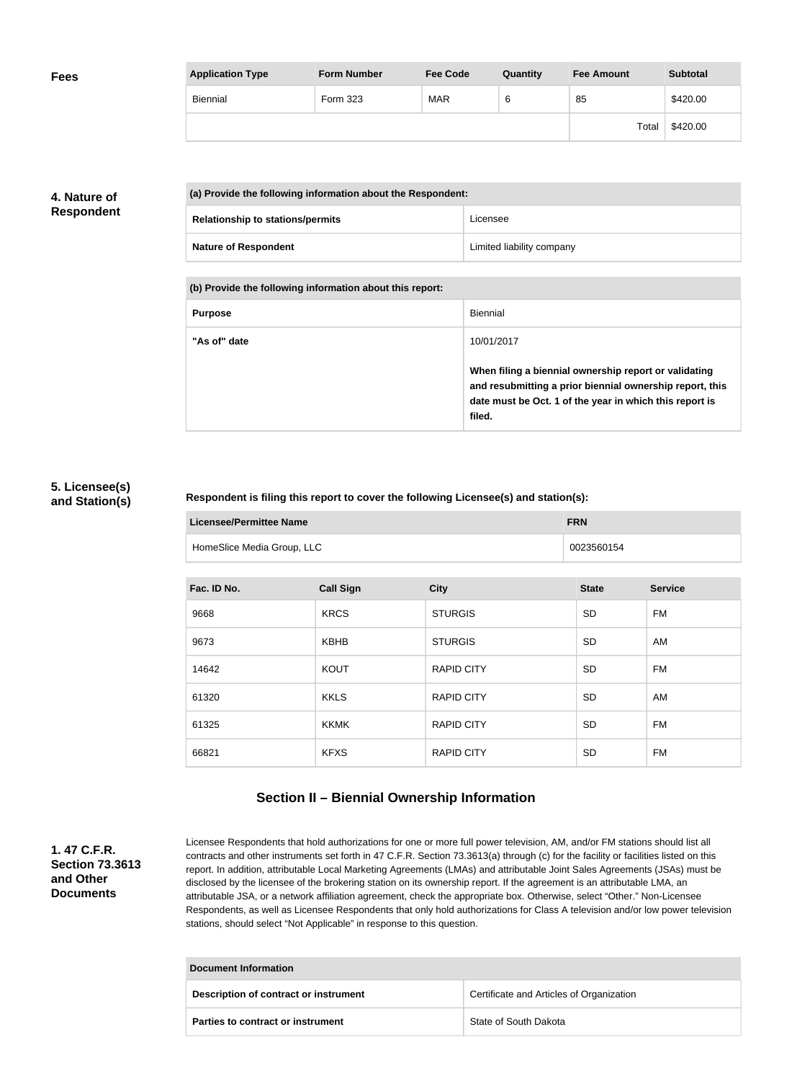| <b>Fees</b> | <b>Application Type</b> | <b>Form Number</b> | <b>Fee Code</b> | Quantity | <b>Fee Amount</b> | <b>Subtotal</b> |
|-------------|-------------------------|--------------------|-----------------|----------|-------------------|-----------------|
|             | Biennial                | Form 323           | <b>MAR</b>      | 6        | 85                | \$420.00        |
|             |                         |                    |                 |          | Total             | \$420.00        |

## **4. Nature of Respondent**

| (a) Provide the following information about the Respondent: |                           |
|-------------------------------------------------------------|---------------------------|
| <b>Relationship to stations/permits</b>                     | Licensee                  |
| <b>Nature of Respondent</b>                                 | Limited liability company |

**(b) Provide the following information about this report:**

| <b>Purpose</b> | Biennial                                                                                                                                                                               |
|----------------|----------------------------------------------------------------------------------------------------------------------------------------------------------------------------------------|
| "As of" date   | 10/01/2017                                                                                                                                                                             |
|                | When filing a biennial ownership report or validating<br>and resubmitting a prior biennial ownership report, this<br>date must be Oct. 1 of the year in which this report is<br>filed. |

## **5. Licensee(s) and Station(s)**

#### **Respondent is filing this report to cover the following Licensee(s) and station(s):**

| <b>Licensee/Permittee Name</b> | <b>FRN</b> |
|--------------------------------|------------|
| HomeSlice Media Group, LLC     | 0023560154 |

| Fac. ID No. | <b>Call Sign</b> | <b>City</b>       | <b>State</b> | <b>Service</b> |
|-------------|------------------|-------------------|--------------|----------------|
| 9668        | <b>KRCS</b>      | <b>STURGIS</b>    | <b>SD</b>    | FM             |
| 9673        | <b>KBHB</b>      | <b>STURGIS</b>    | <b>SD</b>    | AM             |
| 14642       | <b>KOUT</b>      | <b>RAPID CITY</b> | <b>SD</b>    | <b>FM</b>      |
| 61320       | <b>KKLS</b>      | <b>RAPID CITY</b> | <b>SD</b>    | AM             |
| 61325       | <b>KKMK</b>      | <b>RAPID CITY</b> | <b>SD</b>    | FM             |
| 66821       | <b>KFXS</b>      | <b>RAPID CITY</b> | <b>SD</b>    | <b>FM</b>      |

## **Section II – Biennial Ownership Information**

## **1. 47 C.F.R. Section 73.3613 and Other Documents**

Licensee Respondents that hold authorizations for one or more full power television, AM, and/or FM stations should list all contracts and other instruments set forth in 47 C.F.R. Section 73.3613(a) through (c) for the facility or facilities listed on this report. In addition, attributable Local Marketing Agreements (LMAs) and attributable Joint Sales Agreements (JSAs) must be disclosed by the licensee of the brokering station on its ownership report. If the agreement is an attributable LMA, an attributable JSA, or a network affiliation agreement, check the appropriate box. Otherwise, select "Other." Non-Licensee Respondents, as well as Licensee Respondents that only hold authorizations for Class A television and/or low power television stations, should select "Not Applicable" in response to this question.

| Document Information                     |                                          |  |
|------------------------------------------|------------------------------------------|--|
| Description of contract or instrument    | Certificate and Articles of Organization |  |
| <b>Parties to contract or instrument</b> | State of South Dakota                    |  |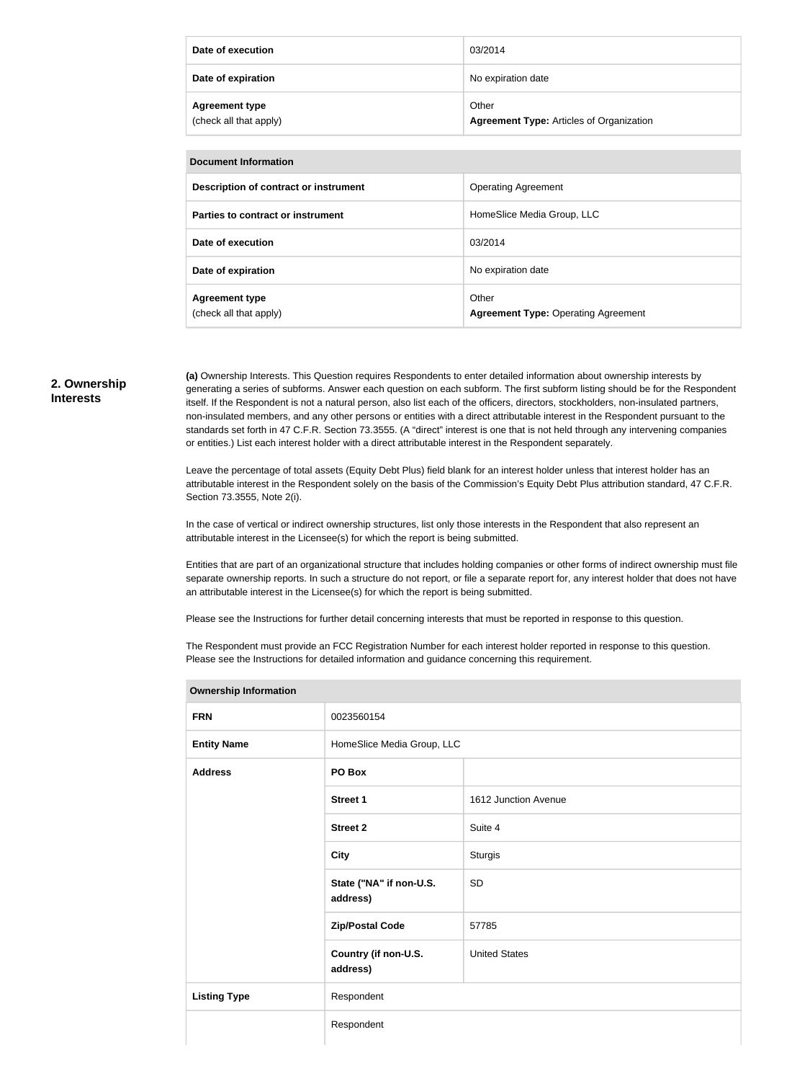| Date of execution                               | 03/2014                                                  |
|-------------------------------------------------|----------------------------------------------------------|
| Date of expiration                              | No expiration date                                       |
| <b>Agreement type</b><br>(check all that apply) | Other<br><b>Agreement Type: Articles of Organization</b> |

| <b>Document Information</b>                     |                                                     |  |
|-------------------------------------------------|-----------------------------------------------------|--|
| Description of contract or instrument           | <b>Operating Agreement</b>                          |  |
| Parties to contract or instrument               | HomeSlice Media Group, LLC                          |  |
| Date of execution                               | 03/2014                                             |  |
| Date of expiration                              | No expiration date                                  |  |
| <b>Agreement type</b><br>(check all that apply) | Other<br><b>Agreement Type: Operating Agreement</b> |  |

#### **2. Ownership Interests**

**(a)** Ownership Interests. This Question requires Respondents to enter detailed information about ownership interests by generating a series of subforms. Answer each question on each subform. The first subform listing should be for the Respondent itself. If the Respondent is not a natural person, also list each of the officers, directors, stockholders, non-insulated partners, non-insulated members, and any other persons or entities with a direct attributable interest in the Respondent pursuant to the standards set forth in 47 C.F.R. Section 73.3555. (A "direct" interest is one that is not held through any intervening companies or entities.) List each interest holder with a direct attributable interest in the Respondent separately.

Leave the percentage of total assets (Equity Debt Plus) field blank for an interest holder unless that interest holder has an attributable interest in the Respondent solely on the basis of the Commission's Equity Debt Plus attribution standard, 47 C.F.R. Section 73.3555, Note 2(i).

In the case of vertical or indirect ownership structures, list only those interests in the Respondent that also represent an attributable interest in the Licensee(s) for which the report is being submitted.

Entities that are part of an organizational structure that includes holding companies or other forms of indirect ownership must file separate ownership reports. In such a structure do not report, or file a separate report for, any interest holder that does not have an attributable interest in the Licensee(s) for which the report is being submitted.

Please see the Instructions for further detail concerning interests that must be reported in response to this question.

**Ownership Information**

The Respondent must provide an FCC Registration Number for each interest holder reported in response to this question. Please see the Instructions for detailed information and guidance concerning this requirement.

| Ownership information |                                     |                      |
|-----------------------|-------------------------------------|----------------------|
| <b>FRN</b>            | 0023560154                          |                      |
| <b>Entity Name</b>    | HomeSlice Media Group, LLC          |                      |
| <b>Address</b>        | PO Box                              |                      |
|                       | <b>Street 1</b>                     | 1612 Junction Avenue |
|                       | <b>Street 2</b>                     | Suite 4              |
|                       | <b>City</b>                         | <b>Sturgis</b>       |
|                       | State ("NA" if non-U.S.<br>address) | SD                   |
|                       | <b>Zip/Postal Code</b>              | 57785                |
|                       | Country (if non-U.S.<br>address)    | <b>United States</b> |
| <b>Listing Type</b>   | Respondent                          |                      |
|                       | Respondent                          |                      |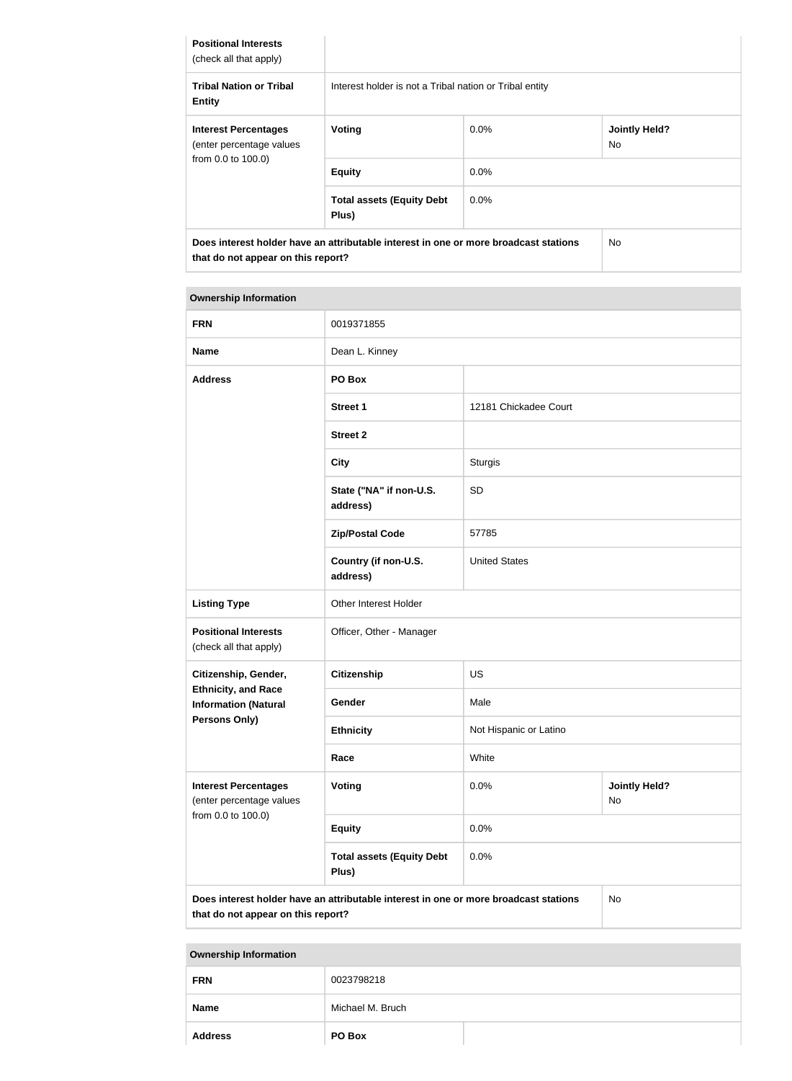| <b>Positional Interests</b><br>(check all that apply)   |                                                                                      |         |                             |
|---------------------------------------------------------|--------------------------------------------------------------------------------------|---------|-----------------------------|
| <b>Tribal Nation or Tribal</b><br><b>Entity</b>         | Interest holder is not a Tribal nation or Tribal entity                              |         |                             |
| <b>Interest Percentages</b><br>(enter percentage values | Voting                                                                               | $0.0\%$ | <b>Jointly Held?</b><br>No. |
| from 0.0 to 100.0)                                      | <b>Equity</b>                                                                        | $0.0\%$ |                             |
|                                                         | <b>Total assets (Equity Debt</b><br>Plus)                                            | $0.0\%$ |                             |
| that do not appear on this report?                      | Does interest holder have an attributable interest in one or more broadcast stations |         | No.                         |

## **Ownership Information FRN** 0019371855 **Name** Dean L. Kinney **Address PO Box Street 1** 12181 Chickadee Court **Street 2 City** Sturgis **State ("NA" if non-U.S. address)** SD **Zip/Postal Code** 57785 **Country (if non-U.S. address)** United States Listing Type **Communist Communist Communist Communist Communist Communist Communist Communist Communist Communist Communist Communist Communist Communist Communist Communist Communist Communist Communist Communist Communis Positional Interests** (check all that apply) Officer, Other - Manager **Citizenship, Gender, Ethnicity, and Race Information (Natural Persons Only) Citizenship** US Gender Male **Ethnicity** Not Hispanic or Latino

|                                                                               | Race                                                                                 | White |                                   |
|-------------------------------------------------------------------------------|--------------------------------------------------------------------------------------|-------|-----------------------------------|
| <b>Interest Percentages</b><br>(enter percentage values<br>from 0.0 to 100.0) | Voting                                                                               | 0.0%  | <b>Jointly Held?</b><br><b>No</b> |
|                                                                               | <b>Equity</b>                                                                        | 0.0%  |                                   |
|                                                                               | <b>Total assets (Equity Debt</b><br>Plus)                                            | 0.0%  |                                   |
| that do not appear on this report?                                            | Does interest holder have an attributable interest in one or more broadcast stations |       | <b>No</b>                         |

**Ownership Information FRN** 0023798218 **Name** Michael M. Bruch **Address PO Box**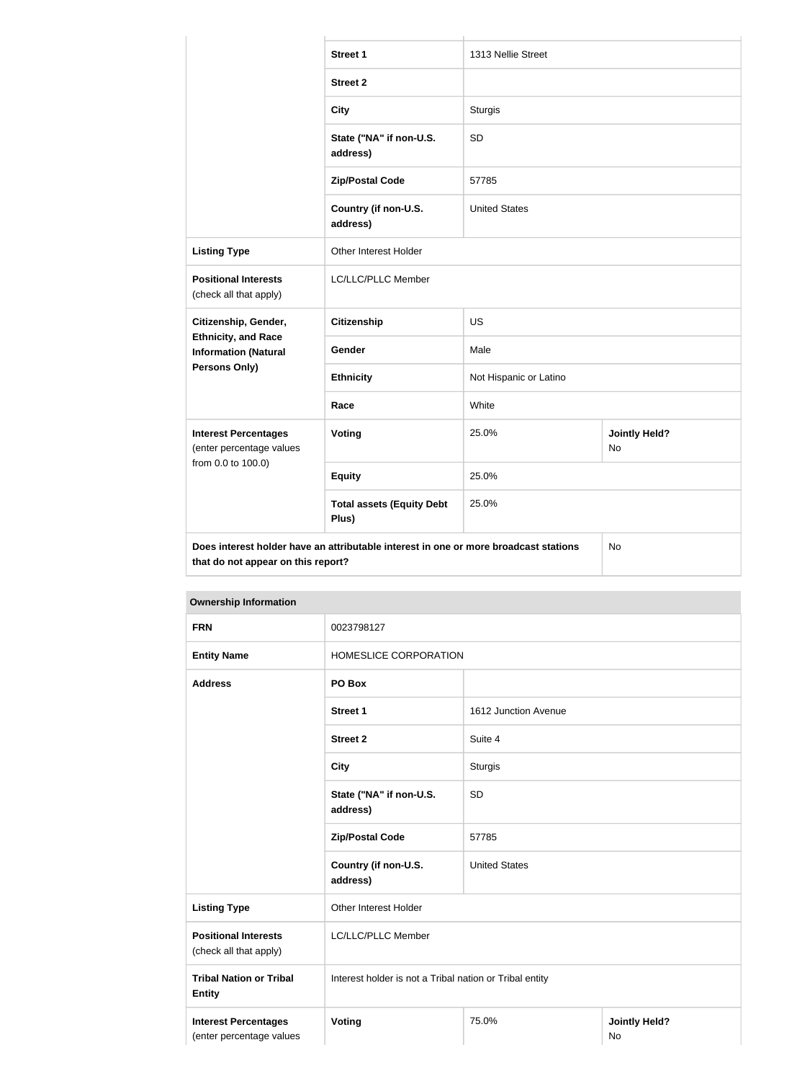|                                                                                                                                  | <b>Street 1</b>                           | 1313 Nellie Street     |                            |
|----------------------------------------------------------------------------------------------------------------------------------|-------------------------------------------|------------------------|----------------------------|
|                                                                                                                                  | <b>Street 2</b>                           |                        |                            |
|                                                                                                                                  | <b>City</b>                               | <b>Sturgis</b>         |                            |
|                                                                                                                                  | State ("NA" if non-U.S.<br>address)       | <b>SD</b>              |                            |
|                                                                                                                                  | <b>Zip/Postal Code</b>                    | 57785                  |                            |
|                                                                                                                                  | Country (if non-U.S.<br>address)          | <b>United States</b>   |                            |
| <b>Listing Type</b>                                                                                                              | <b>Other Interest Holder</b>              |                        |                            |
| <b>Positional Interests</b><br>(check all that apply)                                                                            | LC/LLC/PLLC Member                        |                        |                            |
| Citizenship, Gender,                                                                                                             | <b>Citizenship</b>                        | <b>US</b>              |                            |
| <b>Ethnicity, and Race</b><br><b>Information (Natural</b>                                                                        | Gender                                    | Male                   |                            |
| Persons Only)                                                                                                                    | <b>Ethnicity</b>                          | Not Hispanic or Latino |                            |
|                                                                                                                                  | Race                                      | White                  |                            |
| <b>Interest Percentages</b><br>(enter percentage values<br>from 0.0 to 100.0)                                                    | Voting                                    | 25.0%                  | <b>Jointly Held?</b><br>No |
|                                                                                                                                  | <b>Equity</b>                             | 25.0%                  |                            |
|                                                                                                                                  | <b>Total assets (Equity Debt</b><br>Plus) | 25.0%                  |                            |
| Does interest holder have an attributable interest in one or more broadcast stations<br>No<br>that do not appear on this report? |                                           |                        |                            |

## **Ownership Information**

| <b>FRN</b>                                              | 0023798127                                              |                      |                            |
|---------------------------------------------------------|---------------------------------------------------------|----------------------|----------------------------|
| <b>Entity Name</b>                                      | HOMESLICE CORPORATION                                   |                      |                            |
| <b>Address</b>                                          | PO Box                                                  |                      |                            |
|                                                         | <b>Street 1</b>                                         | 1612 Junction Avenue |                            |
|                                                         | <b>Street 2</b>                                         | Suite 4              |                            |
|                                                         | <b>City</b>                                             | <b>Sturgis</b>       |                            |
|                                                         | State ("NA" if non-U.S.<br>address)                     | <b>SD</b>            |                            |
|                                                         | <b>Zip/Postal Code</b>                                  | 57785                |                            |
|                                                         | Country (if non-U.S.<br>address)                        | <b>United States</b> |                            |
| <b>Listing Type</b>                                     | Other Interest Holder                                   |                      |                            |
| <b>Positional Interests</b><br>(check all that apply)   | LC/LLC/PLLC Member                                      |                      |                            |
| <b>Tribal Nation or Tribal</b><br><b>Entity</b>         | Interest holder is not a Tribal nation or Tribal entity |                      |                            |
| <b>Interest Percentages</b><br>(enter percentage values | <b>Voting</b>                                           | 75.0%                | <b>Jointly Held?</b><br>No |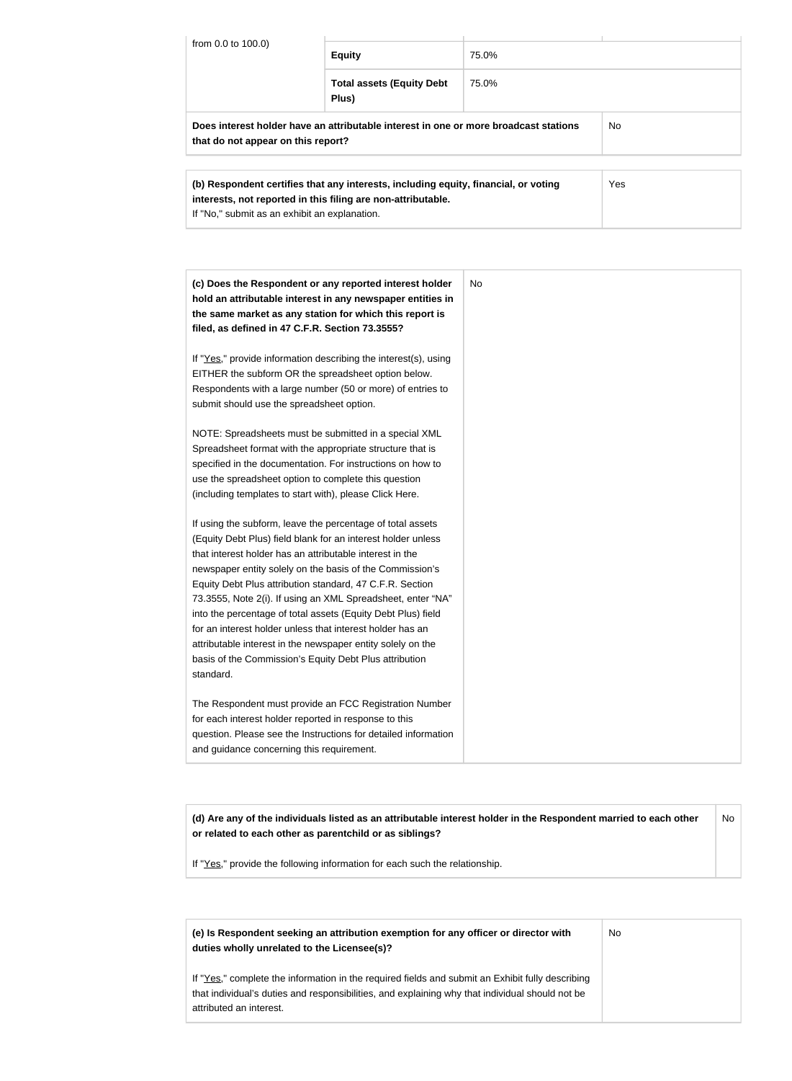| from 0.0 to 100.0)                                                                                                                | <b>Equity</b>                             | 75.0% |  |
|-----------------------------------------------------------------------------------------------------------------------------------|-------------------------------------------|-------|--|
|                                                                                                                                   | <b>Total assets (Equity Debt</b><br>Plus) | 75.0% |  |
| Does interest holder have an attributable interest in one or more broadcast stations<br>No.<br>that do not appear on this report? |                                           |       |  |
| Yes<br>(b) Respondent certifies that any interests, including equity, financial, or voting                                        |                                           |       |  |

| (c) Does the Respondent or any reported interest holder<br>hold an attributable interest in any newspaper entities in<br>the same market as any station for which this report is<br>filed, as defined in 47 C.F.R. Section 73.3555?                                                                 | <b>No</b> |
|-----------------------------------------------------------------------------------------------------------------------------------------------------------------------------------------------------------------------------------------------------------------------------------------------------|-----------|
| If "Yes," provide information describing the interest(s), using<br>EITHER the subform OR the spreadsheet option below.<br>Respondents with a large number (50 or more) of entries to<br>submit should use the spreadsheet option.                                                                   |           |
| NOTE: Spreadsheets must be submitted in a special XML<br>Spreadsheet format with the appropriate structure that is<br>specified in the documentation. For instructions on how to<br>use the spreadsheet option to complete this question<br>(including templates to start with), please Click Here. |           |
| If using the subform, leave the percentage of total assets<br>(Equity Debt Plus) field blank for an interest holder unless<br>that interest holder has an attributable interest in the                                                                                                              |           |

newspaper entity solely on the basis of the Commission's Equity Debt Plus attribution standard, 47 C.F.R. Section 73.3555, Note 2(i). If using an XML Spreadsheet, enter "NA" into the percentage of total assets (Equity Debt Plus) field for an interest holder unless that interest holder has an attributable interest in the newspaper entity solely on the basis of the Commission's Equity Debt Plus attribution standard.

**interests, not reported in this filing are non-attributable.**

If "No," submit as an exhibit an explanation.

The Respondent must provide an FCC Registration Number for each interest holder reported in response to this question. Please see the Instructions for detailed information and guidance concerning this requirement.

**(d) Are any of the individuals listed as an attributable interest holder in the Respondent married to each other or related to each other as parentchild or as siblings?** No

If "Yes," provide the following information for each such the relationship.

**(e) Is Respondent seeking an attribution exemption for any officer or director with duties wholly unrelated to the Licensee(s)?**

No

If "Yes," complete the information in the required fields and submit an Exhibit fully describing that individual's duties and responsibilities, and explaining why that individual should not be attributed an interest.